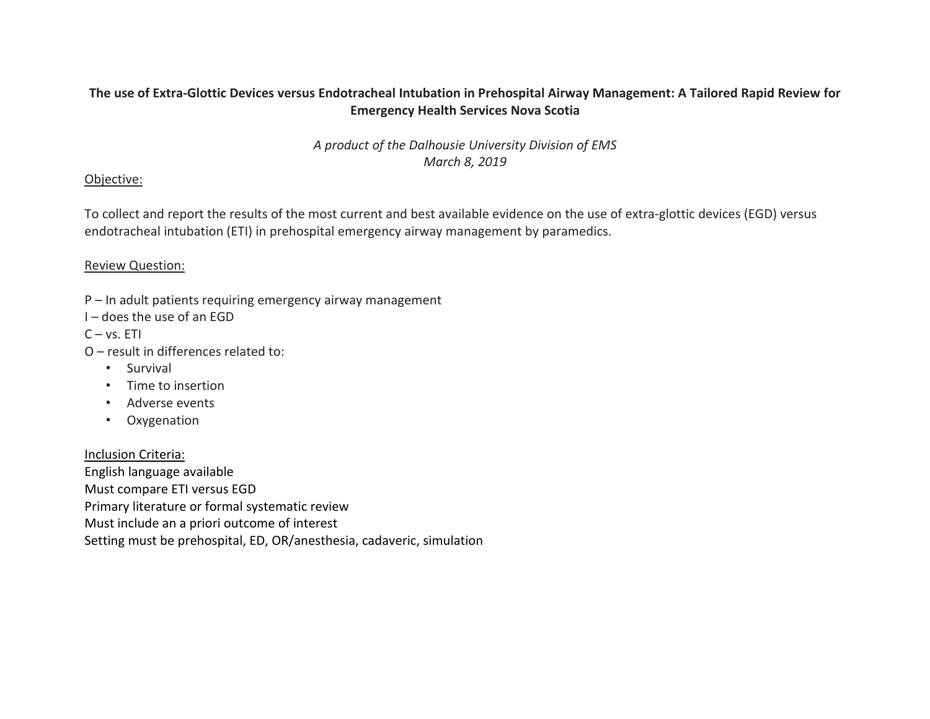# The use of Extra-Glottic Devices versus Endotracheal Intubation in Prehospital Airway Management: A Tailored Rapid Review for **Emergency Health Services Nova Scotia**

*A product of the Dalhousie University Division of EMS March 8, 2019*

## Objective:

To collect and report the results of the most current and best available evidence on the use of extra-glottic devices (EGD) versus endotracheal intubation (ETI) in prehospital emergency airway management by paramedics.

## Review Question:

- P In adult patients requiring emergency airway management
- I does the use of an EGD

 $C - vs. ETI$ 

- O result in differences related to:
	- Survival
	- Time to insertion
	- Adverse events
	- Oxygenation

## Inclusion Criteria:

English language available Must compare ETI versus EGD Primary literature or formal systematic review Must include an a priori outcome of interest Setting must be prehospital, ED, OR/anesthesia, cadaveric, simulation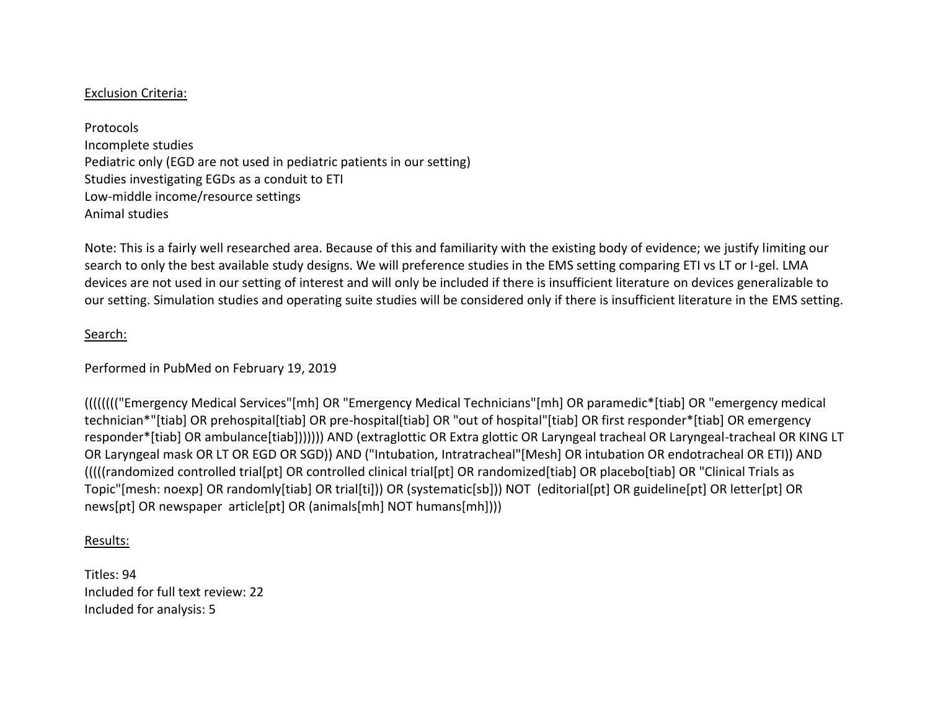## Exclusion Criteria:

Protocols Incomplete studies Pediatric only (EGD are not used in pediatric patients in our setting) Studies investigating EGDs as a conduit to ETI Low-middle income/resource settings Animal studies

Note: This is a fairly well researched area. Because of this and familiarity with the existing body of evidence; we justify limiting our search to only the best available study designs. We will preference studies in the EMS setting comparing ETI vs LT or I-gel. LMA devices are not used in our setting of interest and will only be included if there is insufficient literature on devices generalizable to our setting. Simulation studies and operating suite studies will be considered only if there is insufficient literature in the EMS setting.

#### Search:

Performed in PubMed on February 19, 2019

(((((((("Emergency Medical Services"[mh] OR "Emergency Medical Technicians"[mh] OR paramedic\*[tiab] OR "emergency medical technician\*"[tiab] OR prehospital[tiab] OR pre-hospital[tiab] OR "out of hospital"[tiab] OR first responder\*[tiab] OR emergency responder\*[tiab] OR ambulance[tiab])))))) AND (extraglottic OR Extra glottic OR Laryngeal tracheal OR Laryngeal-tracheal OR KING LT OR Laryngeal mask OR LT OR EGD OR SGD)) AND ("Intubation, Intratracheal"[Mesh] OR intubation OR endotracheal OR ETI)) AND (((((randomized controlled trial[pt] OR controlled clinical trial[pt] OR randomized[tiab] OR placebo[tiab] OR "Clinical Trials as Topic"[mesh: noexp] OR randomly[tiab] OR trial[ti])) OR (systematic[sb])) NOT (editorial[pt] OR guideline[pt] OR letter[pt] OR news[pt] OR newspaper article[pt] OR (animals[mh] NOT humans[mh])))

#### Results:

Titles: 94 Included for full text review: 22 Included for analysis: 5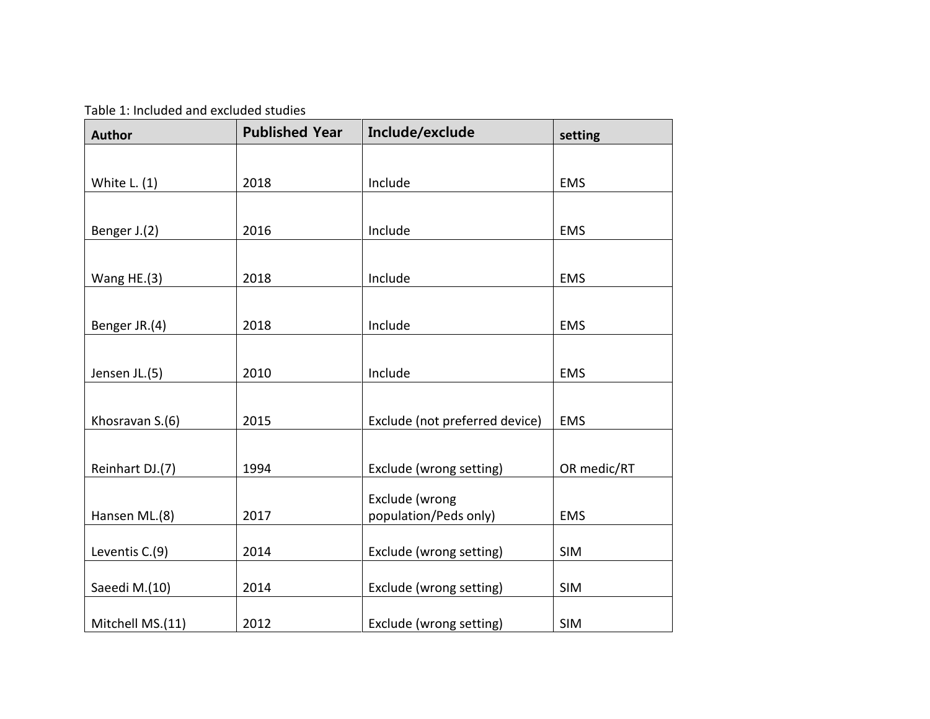Table 1: Included and excluded studies

| <b>Author</b>    | <b>Published Year</b> | Include/exclude                | setting     |  |
|------------------|-----------------------|--------------------------------|-------------|--|
|                  |                       |                                |             |  |
| White $L. (1)$   | 2018                  | Include                        | <b>EMS</b>  |  |
|                  |                       |                                |             |  |
| Benger J.(2)     | 2016                  | Include                        | <b>EMS</b>  |  |
|                  |                       |                                |             |  |
| Wang HE.(3)      | 2018                  | Include                        | <b>EMS</b>  |  |
|                  |                       |                                |             |  |
| Benger JR.(4)    | 2018                  | Include                        | <b>EMS</b>  |  |
|                  |                       |                                |             |  |
| Jensen JL.(5)    | 2010                  | Include                        | <b>EMS</b>  |  |
|                  |                       |                                |             |  |
| Khosravan S.(6)  | 2015                  | Exclude (not preferred device) | <b>EMS</b>  |  |
|                  |                       |                                |             |  |
| Reinhart DJ.(7)  | 1994                  | Exclude (wrong setting)        | OR medic/RT |  |
|                  |                       | Exclude (wrong                 |             |  |
| Hansen ML.(8)    | 2017                  | population/Peds only)          | <b>EMS</b>  |  |
|                  |                       |                                |             |  |
| Leventis C.(9)   | 2014                  | Exclude (wrong setting)        | <b>SIM</b>  |  |
| Saeedi M.(10)    | 2014                  | Exclude (wrong setting)        | <b>SIM</b>  |  |
| Mitchell MS.(11) | 2012                  | Exclude (wrong setting)        | <b>SIM</b>  |  |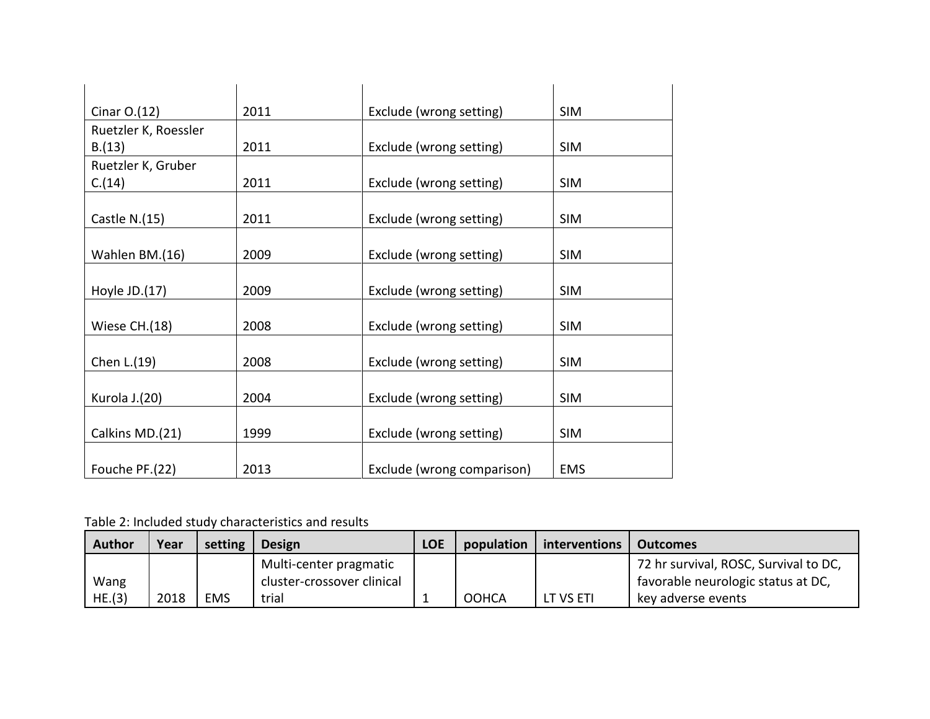| Cinar $O.(12)$       | 2011 | Exclude (wrong setting)    | <b>SIM</b> |
|----------------------|------|----------------------------|------------|
| Ruetzler K, Roessler |      |                            |            |
| B.(13)               | 2011 | Exclude (wrong setting)    | <b>SIM</b> |
| Ruetzler K, Gruber   |      |                            |            |
| C.(14)               | 2011 | Exclude (wrong setting)    | <b>SIM</b> |
|                      |      |                            |            |
| Castle $N.(15)$      | 2011 | Exclude (wrong setting)    | <b>SIM</b> |
|                      |      |                            |            |
| Wahlen BM.(16)       | 2009 | Exclude (wrong setting)    | <b>SIM</b> |
|                      |      |                            |            |
| Hoyle JD.(17)        | 2009 | Exclude (wrong setting)    | <b>SIM</b> |
| Wiese CH.(18)        | 2008 | Exclude (wrong setting)    | <b>SIM</b> |
|                      |      |                            |            |
| Chen L.(19)          | 2008 | Exclude (wrong setting)    | <b>SIM</b> |
|                      |      |                            |            |
| Kurola J.(20)        | 2004 | Exclude (wrong setting)    | <b>SIM</b> |
|                      |      |                            |            |
| Calkins MD.(21)      | 1999 | Exclude (wrong setting)    | <b>SIM</b> |
|                      |      |                            |            |
| Fouche PF.(22)       | 2013 | Exclude (wrong comparison) | <b>EMS</b> |

Table 2: Included study characteristics and results

| <b>Author</b> | Year | setting    | <b>Design</b>              | <b>LOE</b> | population   | interventions | Outcomes                              |
|---------------|------|------------|----------------------------|------------|--------------|---------------|---------------------------------------|
|               |      |            | Multi-center pragmatic     |            |              |               | 72 hr survival, ROSC, Survival to DC, |
| Wang          |      |            | cluster-crossover clinical |            |              |               | favorable neurologic status at DC,    |
| HE.(3)        | 2018 | <b>EMS</b> | trial                      |            | <b>OOHCA</b> | LT VS ETI     | key adverse events                    |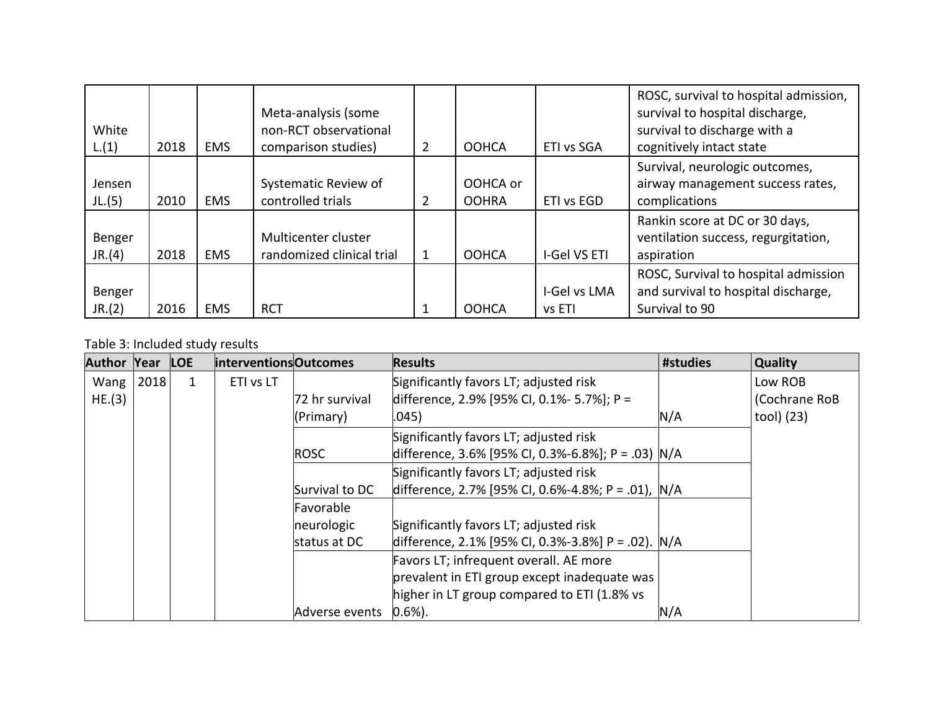| White<br>L.(1)   | 2018 | <b>EMS</b> | Meta-analysis (some<br>non-RCT observational<br>comparison studies) | $\overline{2}$ | <b>OOHCA</b>             | ETI vs SGA             | ROSC, survival to hospital admission,<br>survival to hospital discharge,<br>survival to discharge with a<br>cognitively intact state |
|------------------|------|------------|---------------------------------------------------------------------|----------------|--------------------------|------------------------|--------------------------------------------------------------------------------------------------------------------------------------|
| Jensen<br>JL.(5) | 2010 | <b>EMS</b> | Systematic Review of<br>controlled trials                           |                | OOHCA or<br><b>OOHRA</b> | ETI vs EGD             | Survival, neurologic outcomes,<br>airway management success rates,<br>complications                                                  |
| Benger<br>JR.(4) | 2018 | <b>EMS</b> | Multicenter cluster<br>randomized clinical trial                    |                | <b>OOHCA</b>             | I-Gel VS ETI           | Rankin score at DC or 30 days,<br>ventilation success, regurgitation,<br>aspiration                                                  |
| Benger<br>JR.(2) | 2016 | <b>EMS</b> | <b>RCT</b>                                                          |                | <b>OOHCA</b>             | I-Gel vs LMA<br>vs ETI | ROSC, Survival to hospital admission<br>and survival to hospital discharge,<br>Survival to 90                                        |

Table 3: Included study results

| <b>Author Year</b> |      | <b>LOE</b> | interventions Outcomes |                | <b>Results</b>                                     | #studies | Quality       |
|--------------------|------|------------|------------------------|----------------|----------------------------------------------------|----------|---------------|
| Wang               | 2018 | 1          | ETI vs LT              |                | Significantly favors LT; adjusted risk             |          | Low ROB       |
| HE.(3)             |      |            |                        | 72 hr survival | difference, 2.9% [95% CI, 0.1%- 5.7%]; P =         |          | (Cochrane RoB |
|                    |      |            |                        | (Primary)      | .045)                                              | N/A      | tool) (23)    |
|                    |      |            |                        |                | Significantly favors LT; adjusted risk             |          |               |
|                    |      |            |                        | <b>ROSC</b>    | difference, 3.6% [95% CI, 0.3%-6.8%]; P = .03) N/A |          |               |
|                    |      |            |                        |                | Significantly favors LT; adjusted risk             |          |               |
|                    |      |            |                        | Survival to DC | difference, 2.7% [95% CI, 0.6%-4.8%; P = .01), N/A |          |               |
|                    |      |            |                        | Favorable      |                                                    |          |               |
|                    |      |            |                        | neurologic     | Significantly favors LT; adjusted risk             |          |               |
|                    |      |            |                        | status at DC   | difference, 2.1% [95% CI, 0.3%-3.8%] P = .02). N/A |          |               |
|                    |      |            |                        |                | Favors LT; infrequent overall. AE more             |          |               |
|                    |      |            |                        |                | prevalent in ETI group except inadequate was       |          |               |
|                    |      |            |                        |                | higher in LT group compared to ETI (1.8% vs        |          |               |
|                    |      |            |                        | Adverse events | $(0.6\%)$ .                                        | N/A      |               |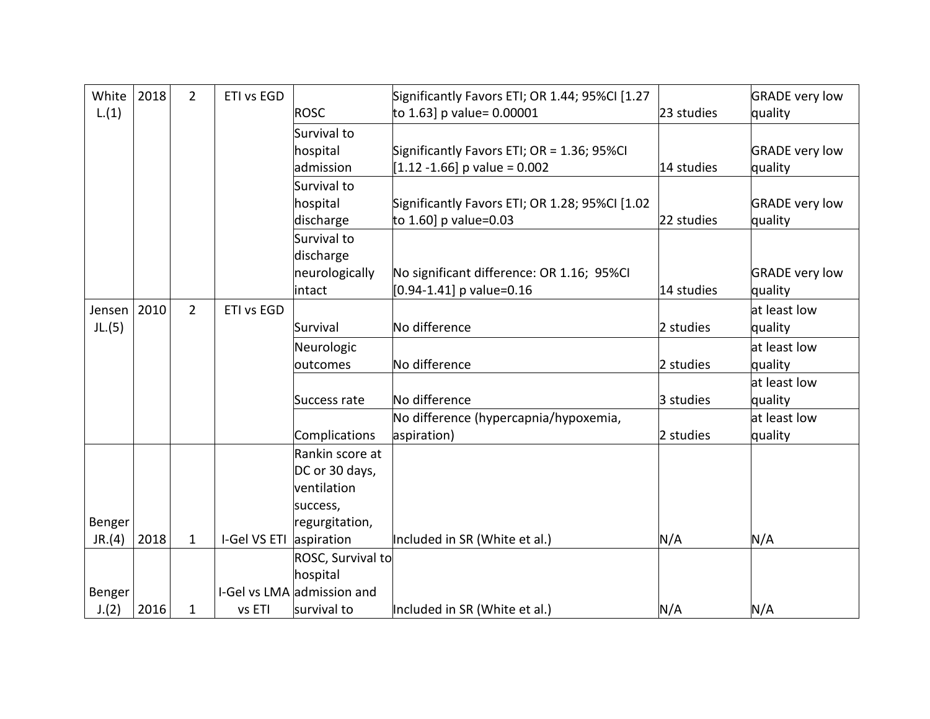| White  | 2018 | $\overline{2}$ | ETI vs EGD              |                   | Significantly Favors ETI; OR 1.44; 95%CI [1.27 |            | <b>GRADE very low</b> |
|--------|------|----------------|-------------------------|-------------------|------------------------------------------------|------------|-----------------------|
| L.(1)  |      |                |                         | ROSC              | to 1.63] p value= 0.00001                      | 23 studies | quality               |
|        |      |                |                         | Survival to       |                                                |            |                       |
|        |      |                |                         | hospital          | Significantly Favors ETI; OR = 1.36; 95%CI     |            | <b>GRADE</b> very low |
|        |      |                |                         | admission         | $[1.12 - 1.66]$ p value = 0.002                | 14 studies | quality               |
|        |      |                |                         | Survival to       |                                                |            |                       |
|        |      |                |                         | hospital          | Significantly Favors ETI; OR 1.28; 95%CI [1.02 |            | <b>GRADE very low</b> |
|        |      |                |                         | discharge         | to 1.60] p value=0.03                          | 22 studies | quality               |
|        |      |                |                         | Survival to       |                                                |            |                       |
|        |      |                |                         | discharge         |                                                |            |                       |
|        |      |                |                         | neurologically    | No significant difference: OR 1.16; 95%CI      |            | <b>GRADE</b> very low |
|        |      |                |                         | intact            | $[0.94 - 1.41]$ p value=0.16                   | 14 studies | quality               |
| Jensen | 2010 | $\overline{2}$ | ETI vs EGD              |                   |                                                |            | at least low          |
| JL.(5) |      |                |                         | Survival          | No difference                                  | 2 studies  | quality               |
|        |      |                |                         | Neurologic        |                                                |            | at least low          |
|        |      |                |                         | outcomes          | No difference                                  | 2 studies  | quality               |
|        |      |                |                         |                   |                                                |            | at least low          |
|        |      |                |                         | Success rate      | No difference                                  | 3 studies  | quality               |
|        |      |                |                         |                   | No difference (hypercapnia/hypoxemia,          |            | at least low          |
|        |      |                |                         | Complications     | aspiration)                                    | 2 studies  | quality               |
|        |      |                |                         | Rankin score at   |                                                |            |                       |
|        |      |                |                         | DC or 30 days,    |                                                |            |                       |
|        |      |                |                         | ventilation       |                                                |            |                       |
|        |      |                |                         | success,          |                                                |            |                       |
| Benger |      |                |                         | regurgitation,    |                                                |            |                       |
| JR.(4) | 2018 | $\mathbf{1}$   | I-Gel VS ETI aspiration |                   | Included in SR (White et al.)                  | N/A        | N/A                   |
|        |      |                |                         | ROSC, Survival to |                                                |            |                       |
|        |      |                |                         | hospital          |                                                |            |                       |
| Benger |      |                | I-Gel vs LMA            | admission and     |                                                |            |                       |
| J.(2)  | 2016 | $\mathbf{1}$   | vs ETI                  | survival to       | Included in SR (White et al.)                  | N/A        | N/A                   |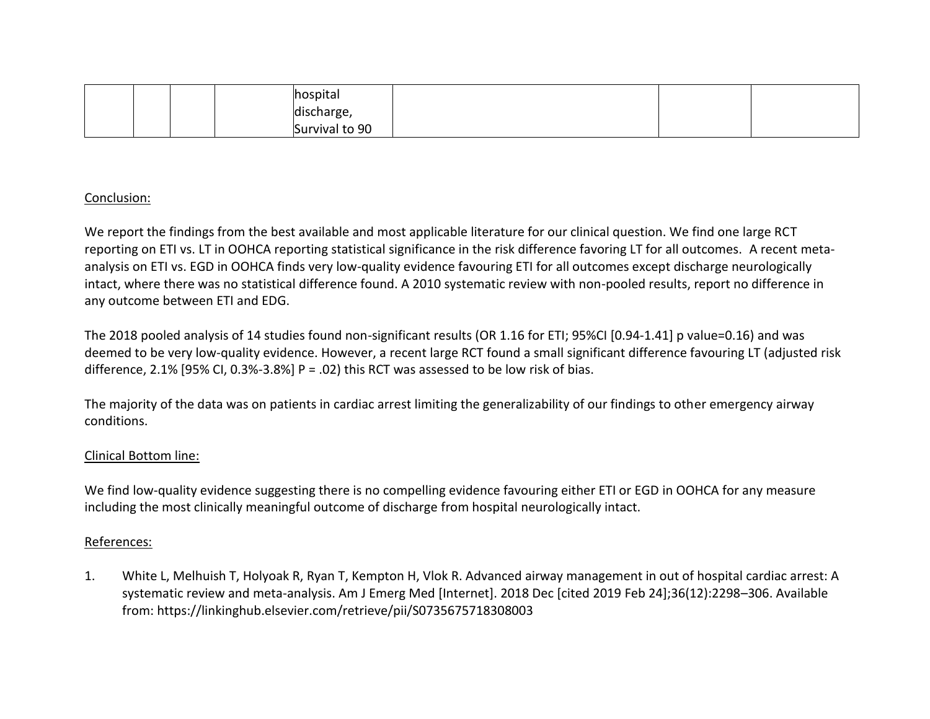|  |  | hospital       |  |  |
|--|--|----------------|--|--|
|  |  | discharge,     |  |  |
|  |  | Survival to 90 |  |  |

## Conclusion:

We report the findings from the best available and most applicable literature for our clinical question. We find one large RCT reporting on ETI vs. LT in OOHCA reporting statistical significance in the risk difference favoring LT for all outcomes. A recent metaanalysis on ETI vs. EGD in OOHCA finds very low-quality evidence favouring ETI for all outcomes except discharge neurologically intact, where there was no statistical difference found. A 2010 systematic review with non-pooled results, report no difference in any outcome between ETI and EDG.

The 2018 pooled analysis of 14 studies found non-significant results (OR 1.16 for ETI; 95%CI [0.94-1.41] p value=0.16) and was deemed to be very low-quality evidence. However, a recent large RCT found a small significant difference favouring LT (adjusted risk difference, 2.1% [95% CI, 0.3%-3.8%] P = .02) this RCT was assessed to be low risk of bias.

The majority of the data was on patients in cardiac arrest limiting the generalizability of our findings to other emergency airway conditions.

## Clinical Bottom line:

We find low-quality evidence suggesting there is no compelling evidence favouring either ETI or EGD in OOHCA for any measure including the most clinically meaningful outcome of discharge from hospital neurologically intact.

## References:

1. White L, Melhuish T, Holyoak R, Ryan T, Kempton H, Vlok R. Advanced airway management in out of hospital cardiac arrest: A systematic review and meta-analysis. Am J Emerg Med [Internet]. 2018 Dec [cited 2019 Feb 24];36(12):2298–306. Available from: https://linkinghub.elsevier.com/retrieve/pii/S0735675718308003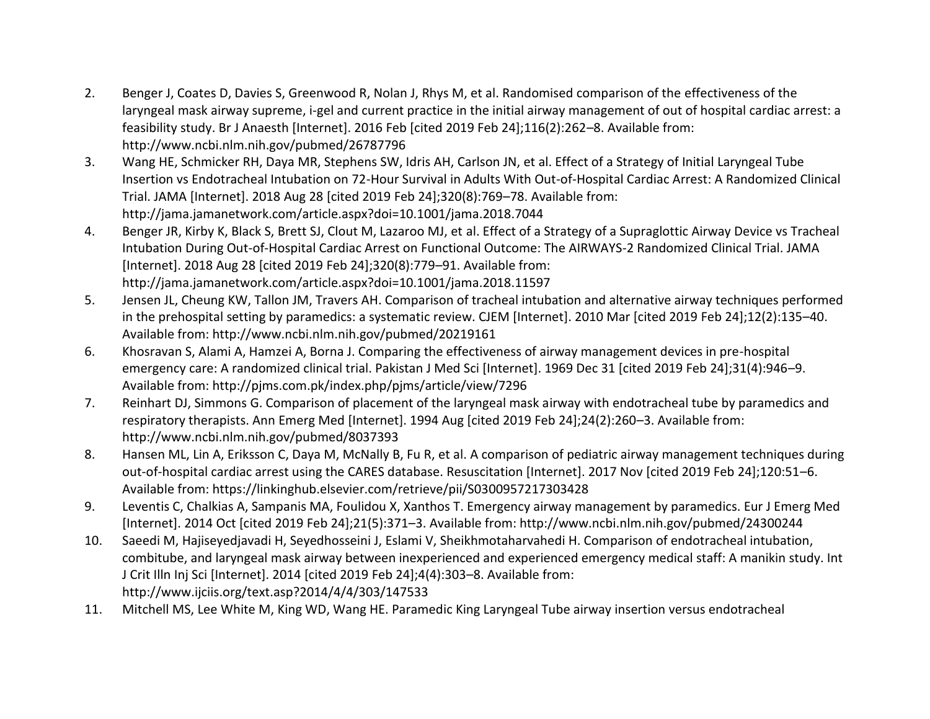- 2. Benger J, Coates D, Davies S, Greenwood R, Nolan J, Rhys M, et al. Randomised comparison of the effectiveness of the laryngeal mask airway supreme, i-gel and current practice in the initial airway management of out of hospital cardiac arrest: a feasibility study. Br J Anaesth [Internet]. 2016 Feb [cited 2019 Feb 24];116(2):262–8. Available from: http://www.ncbi.nlm.nih.gov/pubmed/26787796
- 3. Wang HE, Schmicker RH, Daya MR, Stephens SW, Idris AH, Carlson JN, et al. Effect of a Strategy of Initial Laryngeal Tube Insertion vs Endotracheal Intubation on 72-Hour Survival in Adults With Out-of-Hospital Cardiac Arrest: A Randomized Clinical Trial. JAMA [Internet]. 2018 Aug 28 [cited 2019 Feb 24];320(8):769–78. Available from: http://jama.jamanetwork.com/article.aspx?doi=10.1001/jama.2018.7044
- 4. Benger JR, Kirby K, Black S, Brett SJ, Clout M, Lazaroo MJ, et al. Effect of a Strategy of a Supraglottic Airway Device vs Tracheal Intubation During Out-of-Hospital Cardiac Arrest on Functional Outcome: The AIRWAYS-2 Randomized Clinical Trial. JAMA [Internet]. 2018 Aug 28 [cited 2019 Feb 24];320(8):779–91. Available from: http://jama.jamanetwork.com/article.aspx?doi=10.1001/jama.2018.11597
- 5. Jensen JL, Cheung KW, Tallon JM, Travers AH. Comparison of tracheal intubation and alternative airway techniques performed in the prehospital setting by paramedics: a systematic review. CJEM [Internet]. 2010 Mar [cited 2019 Feb 24];12(2):135–40. Available from: http://www.ncbi.nlm.nih.gov/pubmed/20219161
- 6. Khosravan S, Alami A, Hamzei A, Borna J. Comparing the effectiveness of airway management devices in pre-hospital emergency care: A randomized clinical trial. Pakistan J Med Sci [Internet]. 1969 Dec 31 [cited 2019 Feb 24];31(4):946–9. Available from: http://pjms.com.pk/index.php/pjms/article/view/7296
- 7. Reinhart DJ, Simmons G. Comparison of placement of the laryngeal mask airway with endotracheal tube by paramedics and respiratory therapists. Ann Emerg Med [Internet]. 1994 Aug [cited 2019 Feb 24];24(2):260–3. Available from: http://www.ncbi.nlm.nih.gov/pubmed/8037393
- 8. Hansen ML, Lin A, Eriksson C, Daya M, McNally B, Fu R, et al. A comparison of pediatric airway management techniques during out-of-hospital cardiac arrest using the CARES database. Resuscitation [Internet]. 2017 Nov [cited 2019 Feb 24];120:51–6. Available from: https://linkinghub.elsevier.com/retrieve/pii/S0300957217303428
- 9. Leventis C, Chalkias A, Sampanis MA, Foulidou X, Xanthos T. Emergency airway management by paramedics. Eur J Emerg Med [Internet]. 2014 Oct [cited 2019 Feb 24];21(5):371–3. Available from: http://www.ncbi.nlm.nih.gov/pubmed/24300244
- 10. Saeedi M, Hajiseyedjavadi H, Seyedhosseini J, Eslami V, Sheikhmotaharvahedi H. Comparison of endotracheal intubation, combitube, and laryngeal mask airway between inexperienced and experienced emergency medical staff: A manikin study. Int J Crit Illn Inj Sci [Internet]. 2014 [cited 2019 Feb 24];4(4):303–8. Available from: http://www.ijciis.org/text.asp?2014/4/4/303/147533
- 11. Mitchell MS, Lee White M, King WD, Wang HE. Paramedic King Laryngeal Tube airway insertion versus endotracheal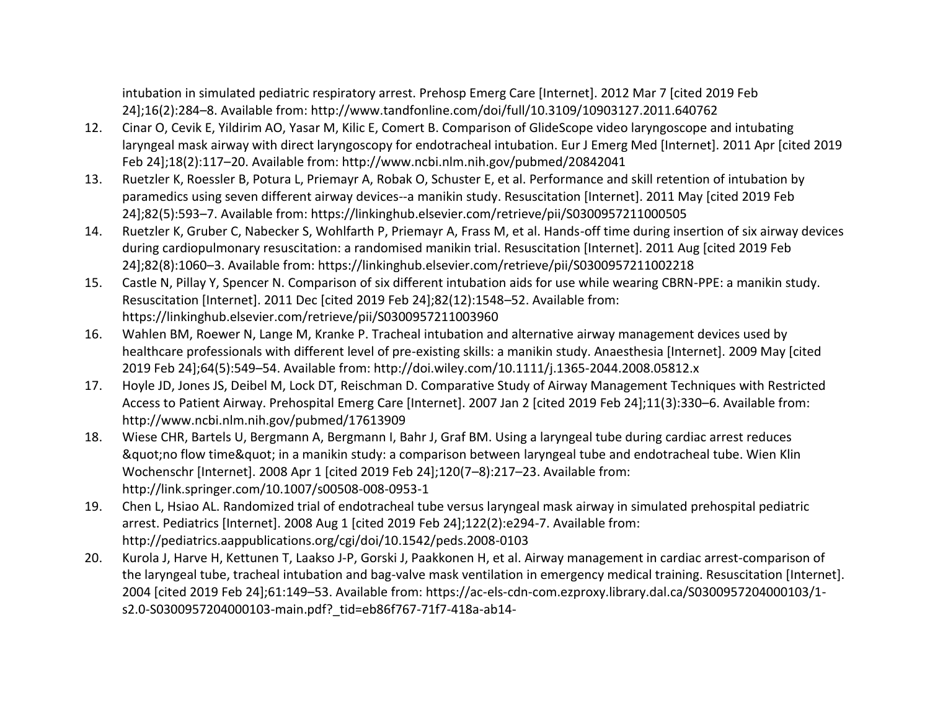intubation in simulated pediatric respiratory arrest. Prehosp Emerg Care [Internet]. 2012 Mar 7 [cited 2019 Feb 24];16(2):284–8. Available from: http://www.tandfonline.com/doi/full/10.3109/10903127.2011.640762

- 12. Cinar O, Cevik E, Yildirim AO, Yasar M, Kilic E, Comert B. Comparison of GlideScope video laryngoscope and intubating laryngeal mask airway with direct laryngoscopy for endotracheal intubation. Eur J Emerg Med [Internet]. 2011 Apr [cited 2019 Feb 24];18(2):117–20. Available from: http://www.ncbi.nlm.nih.gov/pubmed/20842041
- 13. Ruetzler K, Roessler B, Potura L, Priemayr A, Robak O, Schuster E, et al. Performance and skill retention of intubation by paramedics using seven different airway devices--a manikin study. Resuscitation [Internet]. 2011 May [cited 2019 Feb 24];82(5):593–7. Available from: https://linkinghub.elsevier.com/retrieve/pii/S0300957211000505
- 14. Ruetzler K, Gruber C, Nabecker S, Wohlfarth P, Priemayr A, Frass M, et al. Hands-off time during insertion of six airway devices during cardiopulmonary resuscitation: a randomised manikin trial. Resuscitation [Internet]. 2011 Aug [cited 2019 Feb 24];82(8):1060–3. Available from: https://linkinghub.elsevier.com/retrieve/pii/S0300957211002218
- 15. Castle N, Pillay Y, Spencer N. Comparison of six different intubation aids for use while wearing CBRN-PPE: a manikin study. Resuscitation [Internet]. 2011 Dec [cited 2019 Feb 24];82(12):1548–52. Available from: https://linkinghub.elsevier.com/retrieve/pii/S0300957211003960
- 16. Wahlen BM, Roewer N, Lange M, Kranke P. Tracheal intubation and alternative airway management devices used by healthcare professionals with different level of pre-existing skills: a manikin study. Anaesthesia [Internet]. 2009 May [cited 2019 Feb 24];64(5):549–54. Available from: http://doi.wiley.com/10.1111/j.1365-2044.2008.05812.x
- 17. Hoyle JD, Jones JS, Deibel M, Lock DT, Reischman D. Comparative Study of Airway Management Techniques with Restricted Access to Patient Airway. Prehospital Emerg Care [Internet]. 2007 Jan 2 [cited 2019 Feb 24];11(3):330–6. Available from: http://www.ncbi.nlm.nih.gov/pubmed/17613909
- 18. Wiese CHR, Bartels U, Bergmann A, Bergmann I, Bahr J, Graf BM. Using a laryngeal tube during cardiac arrest reduces & guot;no flow time & quot; in a manikin study: a comparison between laryngeal tube and endotracheal tube. Wien Klin Wochenschr [Internet]. 2008 Apr 1 [cited 2019 Feb 24];120(7–8):217–23. Available from: http://link.springer.com/10.1007/s00508-008-0953-1
- 19. Chen L, Hsiao AL. Randomized trial of endotracheal tube versus laryngeal mask airway in simulated prehospital pediatric arrest. Pediatrics [Internet]. 2008 Aug 1 [cited 2019 Feb 24];122(2):e294-7. Available from: http://pediatrics.aappublications.org/cgi/doi/10.1542/peds.2008-0103
- 20. Kurola J, Harve H, Kettunen T, Laakso J-P, Gorski J, Paakkonen H, et al. Airway management in cardiac arrest-comparison of the laryngeal tube, tracheal intubation and bag-valve mask ventilation in emergency medical training. Resuscitation [Internet]. 2004 [cited 2019 Feb 24];61:149–53. Available from: https://ac-els-cdn-com.ezproxy.library.dal.ca/S0300957204000103/1 s2.0-S0300957204000103-main.pdf?\_tid=eb86f767-71f7-418a-ab14-